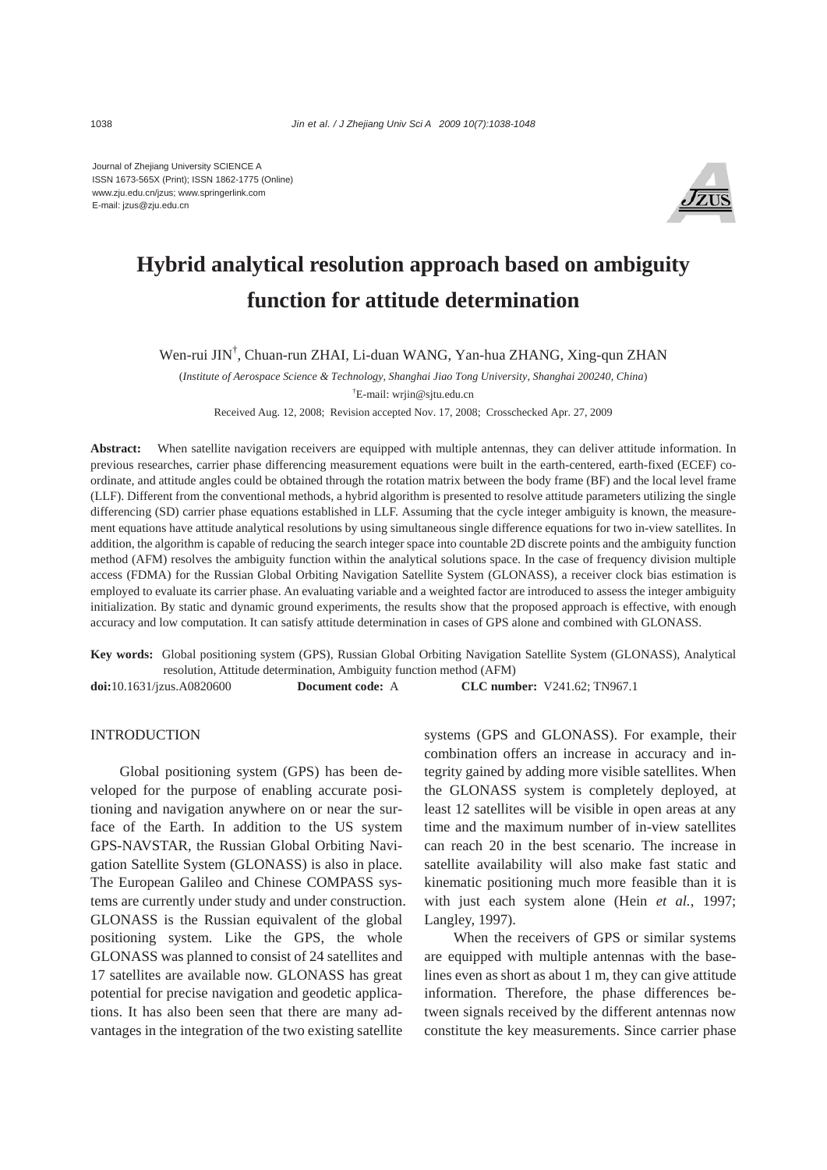Journal of Zhejiang University SCIENCE A ISSN 1673-565X (Print); ISSN 1862-1775 (Online) www.zju.edu.cn/jzus; www.springerlink.com E-mail: jzus@zju.edu.cn



# **Hybrid analytical resolution approach based on ambiguity function for attitude determination**

Wen-rui JIN† , Chuan-run ZHAI, Li-duan WANG, Yan-hua ZHANG, Xing-qun ZHAN

(*Institute of Aerospace Science & Technology, Shanghai Jiao Tong University, Shanghai 200240, China*) † E-mail: wrjin@sjtu.edu.cn

Received Aug. 12, 2008; Revision accepted Nov. 17, 2008; Crosschecked Apr. 27, 2009

**Abstract:** When satellite navigation receivers are equipped with multiple antennas, they can deliver attitude information. In previous researches, carrier phase differencing measurement equations were built in the earth-centered, earth-fixed (ECEF) coordinate, and attitude angles could be obtained through the rotation matrix between the body frame (BF) and the local level frame (LLF). Different from the conventional methods, a hybrid algorithm is presented to resolve attitude parameters utilizing the single differencing (SD) carrier phase equations established in LLF. Assuming that the cycle integer ambiguity is known, the measurement equations have attitude analytical resolutions by using simultaneous single difference equations for two in-view satellites. In addition, the algorithm is capable of reducing the search integer space into countable 2D discrete points and the ambiguity function method (AFM) resolves the ambiguity function within the analytical solutions space. In the case of frequency division multiple access (FDMA) for the Russian Global Orbiting Navigation Satellite System (GLONASS), a receiver clock bias estimation is employed to evaluate its carrier phase. An evaluating variable and a weighted factor are introduced to assess the integer ambiguity initialization. By static and dynamic ground experiments, the results show that the proposed approach is effective, with enough accuracy and low computation. It can satisfy attitude determination in cases of GPS alone and combined with GLONASS.

**Key words:** Global positioning system (GPS), Russian Global Orbiting Navigation Satellite System (GLONASS), Analytical resolution, Attitude determination, Ambiguity function method (AFM)

**doi:**10.1631/jzus.A0820600 **Document code:** A **CLC number:** V241.62; TN967.1

## INTRODUCTION

Global positioning system (GPS) has been developed for the purpose of enabling accurate positioning and navigation anywhere on or near the surface of the Earth. In addition to the US system GPS-NAVSTAR, the Russian Global Orbiting Navigation Satellite System (GLONASS) is also in place. The European Galileo and Chinese COMPASS systems are currently under study and under construction. GLONASS is the Russian equivalent of the global positioning system. Like the GPS, the whole GLONASS was planned to consist of 24 satellites and 17 satellites are available now. GLONASS has great potential for precise navigation and geodetic applications. It has also been seen that there are many advantages in the integration of the two existing satellite

systems (GPS and GLONASS). For example, their combination offers an increase in accuracy and integrity gained by adding more visible satellites. When the GLONASS system is completely deployed, at least 12 satellites will be visible in open areas at any time and the maximum number of in-view satellites can reach 20 in the best scenario. The increase in satellite availability will also make fast static and kinematic positioning much more feasible than it is with just each system alone (Hein *et al.*, 1997; Langley, 1997).

When the receivers of GPS or similar systems are equipped with multiple antennas with the baselines even as short as about 1 m, they can give attitude information. Therefore, the phase differences between signals received by the different antennas now constitute the key measurements. Since carrier phase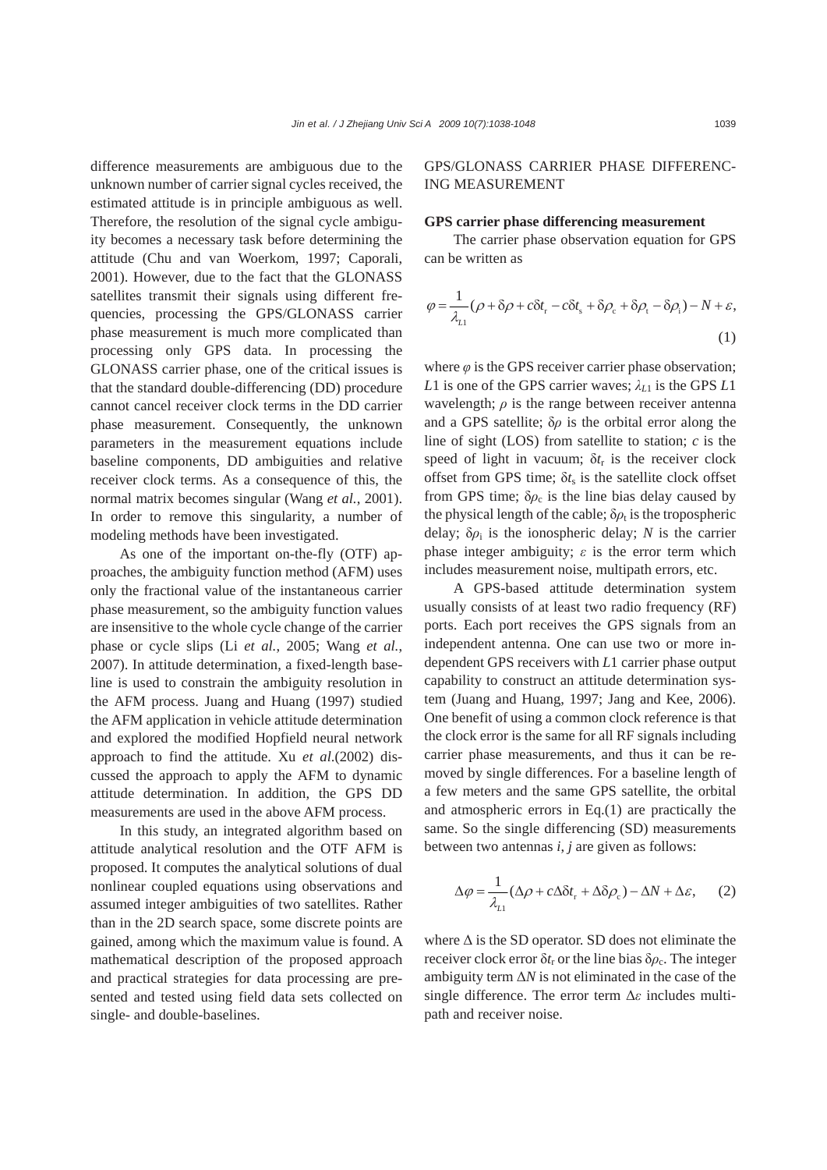difference measurements are ambiguous due to the unknown number of carrier signal cycles received, the estimated attitude is in principle ambiguous as well. Therefore, the resolution of the signal cycle ambiguity becomes a necessary task before determining the attitude (Chu and van Woerkom, 1997; Caporali, 2001). However, due to the fact that the GLONASS satellites transmit their signals using different frequencies, processing the GPS/GLONASS carrier phase measurement is much more complicated than processing only GPS data. In processing the GLONASS carrier phase, one of the critical issues is that the standard double-differencing (DD) procedure cannot cancel receiver clock terms in the DD carrier phase measurement. Consequently, the unknown parameters in the measurement equations include baseline components, DD ambiguities and relative receiver clock terms. As a consequence of this, the normal matrix becomes singular (Wang *et al.*, 2001). In order to remove this singularity, a number of modeling methods have been investigated.

As one of the important on-the-fly (OTF) approaches, the ambiguity function method (AFM) uses only the fractional value of the instantaneous carrier phase measurement, so the ambiguity function values are insensitive to the whole cycle change of the carrier phase or cycle slips (Li *et al.*, 2005; Wang *et al.*, 2007). In attitude determination, a fixed-length baseline is used to constrain the ambiguity resolution in the AFM process. Juang and Huang (1997) studied the AFM application in vehicle attitude determination and explored the modified Hopfield neural network approach to find the attitude. Xu *et al*.(2002) discussed the approach to apply the AFM to dynamic attitude determination. In addition, the GPS DD measurements are used in the above AFM process.

In this study, an integrated algorithm based on attitude analytical resolution and the OTF AFM is proposed. It computes the analytical solutions of dual nonlinear coupled equations using observations and assumed integer ambiguities of two satellites. Rather than in the 2D search space, some discrete points are gained, among which the maximum value is found. A mathematical description of the proposed approach and practical strategies for data processing are presented and tested using field data sets collected on single- and double-baselines.

# GPS/GLONASS CARRIER PHASE DIFFERENC-ING MEASUREMENT

## **GPS carrier phase differencing measurement**

The carrier phase observation equation for GPS can be written as

$$
\varphi = \frac{1}{\lambda_{L1}} (\rho + \delta \rho + c \delta t_{r} - c \delta t_{s} + \delta \rho_{c} + \delta \rho_{t} - \delta \rho_{i}) - N + \varepsilon,
$$
\n(1)

where  $\varphi$  is the GPS receiver carrier phase observation; *L*1 is one of the GPS carrier waves;  $\lambda_{L1}$  is the GPS *L*1 wavelength;  $\rho$  is the range between receiver antenna and a GPS satellite; δ*ρ* is the orbital error along the line of sight (LOS) from satellite to station; *c* is the speed of light in vacuum;  $\delta t_r$  is the receiver clock offset from GPS time; δ*t*s is the satellite clock offset from GPS time;  $\delta \rho_c$  is the line bias delay caused by the physical length of the cable;  $\delta \rho_t$  is the tropospheric delay;  $\delta \rho_i$  is the ionospheric delay; *N* is the carrier phase integer ambiguity; *ε* is the error term which includes measurement noise, multipath errors, etc.

A GPS-based attitude determination system usually consists of at least two radio frequency (RF) ports. Each port receives the GPS signals from an independent antenna. One can use two or more independent GPS receivers with *L*1 carrier phase output capability to construct an attitude determination system (Juang and Huang, 1997; Jang and Kee, 2006). One benefit of using a common clock reference is that the clock error is the same for all RF signals including carrier phase measurements, and thus it can be removed by single differences. For a baseline length of a few meters and the same GPS satellite, the orbital and atmospheric errors in Eq.(1) are practically the same. So the single differencing (SD) measurements between two antennas *i*, *j* are given as follows:

$$
\Delta \varphi = \frac{1}{\lambda_{L1}} (\Delta \rho + c \Delta \delta t_{\rm r} + \Delta \delta \rho_{\rm c}) - \Delta N + \Delta \varepsilon, \quad (2)
$$

where  $\Delta$  is the SD operator. SD does not eliminate the receiver clock error  $\delta t_{r}$  or the line bias  $\delta \rho_c$ . The integer ambiguity term Δ*N* is not eliminated in the case of the single difference. The error term Δ*ε* includes multipath and receiver noise.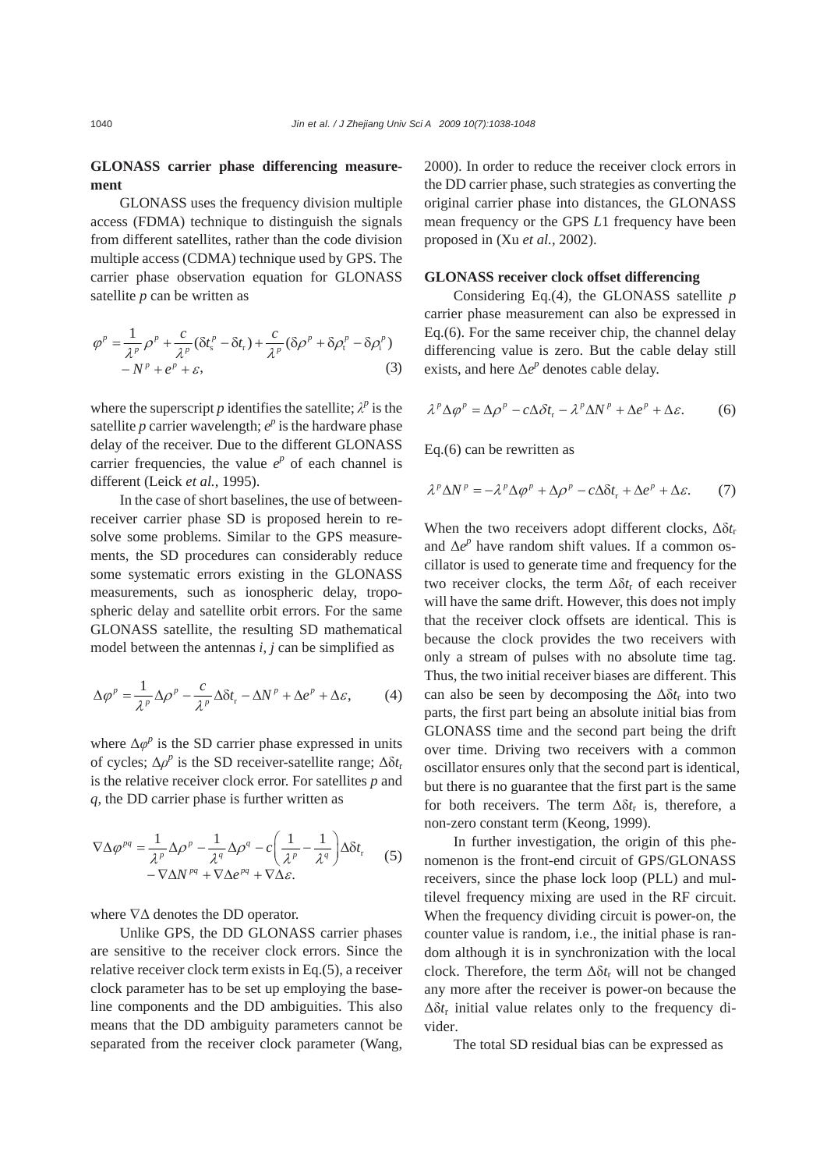# **GLONASS carrier phase differencing measurement**

GLONASS uses the frequency division multiple access (FDMA) technique to distinguish the signals from different satellites, rather than the code division multiple access (CDMA) technique used by GPS. The carrier phase observation equation for GLONASS satellite *p* can be written as

$$
\varphi^p = \frac{1}{\lambda^p} \rho^p + \frac{c}{\lambda^p} (\delta t_s^p - \delta t_r) + \frac{c}{\lambda^p} (\delta \rho^p + \delta \rho_t^p - \delta \rho_i^p) - N^p + e^p + \varepsilon,
$$
\n(3)

where the superscript *p* identifies the satellite;  $\lambda^p$  is the satellite  $p$  carrier wavelength;  $e^p$  is the hardware phase delay of the receiver. Due to the different GLONASS carrier frequencies, the value  $e^p$  of each channel is different (Leick *et al.*, 1995).

In the case of short baselines, the use of betweenreceiver carrier phase SD is proposed herein to resolve some problems. Similar to the GPS measurements, the SD procedures can considerably reduce some systematic errors existing in the GLONASS measurements, such as ionospheric delay, tropospheric delay and satellite orbit errors. For the same GLONASS satellite, the resulting SD mathematical model between the antennas *i*, *j* can be simplified as

$$
\Delta \varphi^p = \frac{1}{\lambda^p} \Delta \rho^p - \frac{c}{\lambda^p} \Delta \delta t_r - \Delta N^p + \Delta e^p + \Delta \varepsilon,\tag{4}
$$

where  $\Delta \varphi^p$  is the SD carrier phase expressed in units of cycles;  $\Delta \rho^p$  is the SD receiver-satellite range;  $\Delta \delta t_r$ is the relative receiver clock error. For satellites *p* and *q*, the DD carrier phase is further written as

$$
\nabla \Delta \varphi^{pq} = \frac{1}{\lambda^p} \Delta \rho^p - \frac{1}{\lambda^q} \Delta \rho^q - c \left( \frac{1}{\lambda^p} - \frac{1}{\lambda^q} \right) \Delta \delta t_r
$$
  
-  $\nabla \Delta N^{pq} + \nabla \Delta e^{pq} + \nabla \Delta \varepsilon.$  (5)

where  $\nabla\Delta$  denotes the DD operator.

Unlike GPS, the DD GLONASS carrier phases are sensitive to the receiver clock errors. Since the relative receiver clock term exists in Eq.(5), a receiver clock parameter has to be set up employing the baseline components and the DD ambiguities. This also means that the DD ambiguity parameters cannot be separated from the receiver clock parameter (Wang,

2000). In order to reduce the receiver clock errors in the DD carrier phase, such strategies as converting the original carrier phase into distances, the GLONASS mean frequency or the GPS *L*1 frequency have been proposed in (Xu *et al.*, 2002).

## **GLONASS receiver clock offset differencing**

Considering Eq.(4), the GLONASS satellite *p* carrier phase measurement can also be expressed in Eq.(6). For the same receiver chip, the channel delay differencing value is zero. But the cable delay still exists, and here  $\Delta e^p$  denotes cable delay.

$$
\lambda^p \Delta \varphi^p = \Delta \rho^p - c \Delta \delta t_r - \lambda^p \Delta N^p + \Delta e^p + \Delta \varepsilon. \tag{6}
$$

Eq.(6) can be rewritten as

$$
\lambda^p \Delta N^p = -\lambda^p \Delta \varphi^p + \Delta \rho^p - c \Delta \delta t_r + \Delta e^p + \Delta \varepsilon. \tag{7}
$$

When the two receivers adopt different clocks, Δδ*t*<sup>r</sup> and  $\Delta e^p$  have random shift values. If a common oscillator is used to generate time and frequency for the two receiver clocks, the term  $\Delta \delta t$ <sub>r</sub> of each receiver will have the same drift. However, this does not imply that the receiver clock offsets are identical. This is because the clock provides the two receivers with only a stream of pulses with no absolute time tag. Thus, the two initial receiver biases are different. This can also be seen by decomposing the  $\Delta \delta t_r$  into two parts, the first part being an absolute initial bias from GLONASS time and the second part being the drift over time. Driving two receivers with a common oscillator ensures only that the second part is identical, but there is no guarantee that the first part is the same for both receivers. The term  $\Delta \delta t_r$  is, therefore, a non-zero constant term (Keong, 1999).

In further investigation, the origin of this phenomenon is the front-end circuit of GPS/GLONASS receivers, since the phase lock loop (PLL) and multilevel frequency mixing are used in the RF circuit. When the frequency dividing circuit is power-on, the counter value is random, i.e., the initial phase is random although it is in synchronization with the local clock. Therefore, the term  $\Delta \delta t_r$  will not be changed any more after the receiver is power-on because the Δδ*t*r initial value relates only to the frequency divider.

The total SD residual bias can be expressed as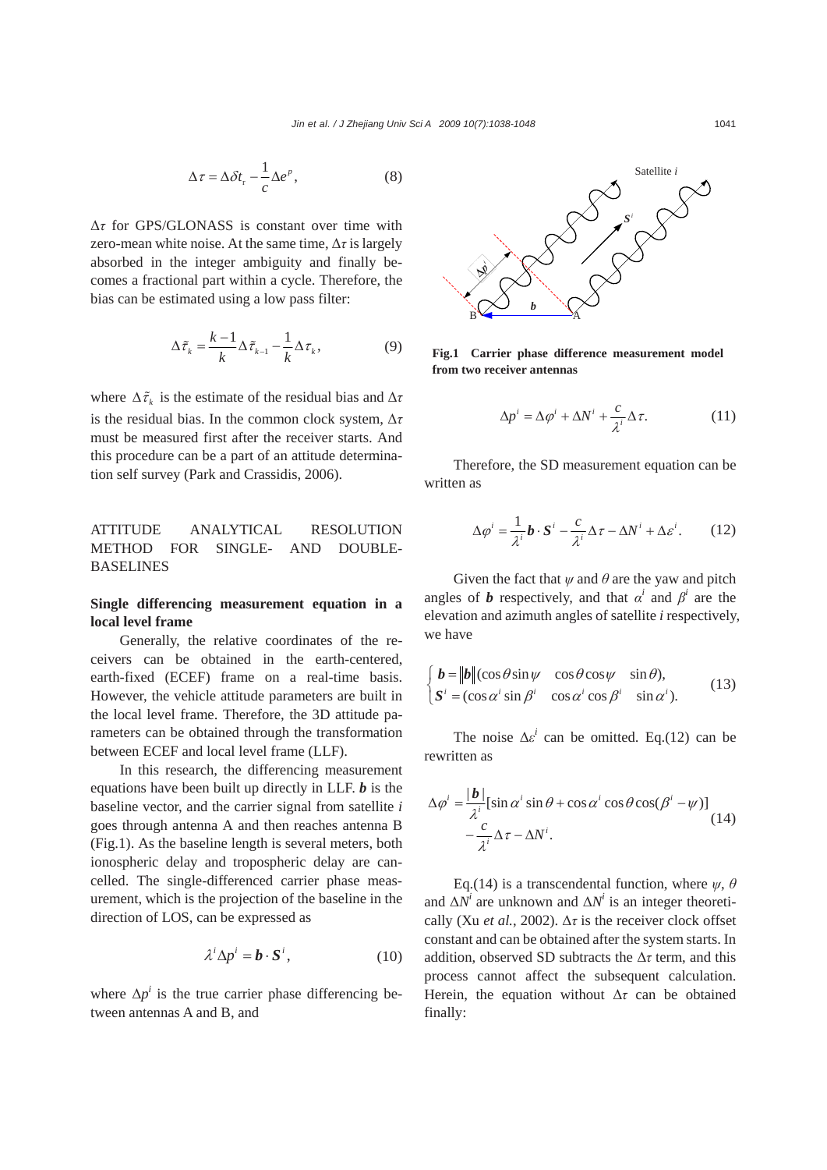$$
\Delta \tau = \Delta \delta t_{\rm r} - \frac{1}{c} \Delta e^p, \qquad (8)
$$

Δ*τ* for GPS/GLONASS is constant over time with zero-mean white noise. At the same time, Δ*τ* is largely absorbed in the integer ambiguity and finally becomes a fractional part within a cycle. Therefore, the bias can be estimated using a low pass filter:

$$
\Delta \tilde{\tau}_k = \frac{k-1}{k} \Delta \tilde{\tau}_{k-1} - \frac{1}{k} \Delta \tau_k, \tag{9}
$$

where  $\Delta \tilde{\tau}_k$  is the estimate of the residual bias and  $\Delta \tau$ is the residual bias. In the common clock system, Δ*τ* must be measured first after the receiver starts. And this procedure can be a part of an attitude determination self survey (Park and Crassidis, 2006).

# ATTITUDE ANALYTICAL RESOLUTION METHOD FOR SINGLE- AND DOUBLE-BASELINES

# **Single differencing measurement equation in a local level frame**

Generally, the relative coordinates of the receivers can be obtained in the earth-centered, earth-fixed (ECEF) frame on a real-time basis. However, the vehicle attitude parameters are built in the local level frame. Therefore, the 3D attitude parameters can be obtained through the transformation between ECEF and local level frame (LLF).

In this research, the differencing measurement equations have been built up directly in LLF. *b* is the baseline vector, and the carrier signal from satellite *i* goes through antenna A and then reaches antenna B (Fig.1). As the baseline length is several meters, both ionospheric delay and tropospheric delay are cancelled. The single-differenced carrier phase measurement, which is the projection of the baseline in the direction of LOS, can be expressed as

$$
\lambda^i \Delta p^i = \mathbf{b} \cdot \mathbf{S}^i, \tag{10}
$$

where  $\Delta p^i$  is the true carrier phase differencing between antennas A and B, and



**Fig.1 Carrier phase difference measurement model from two receiver antennas** 

$$
\Delta p^i = \Delta \varphi^i + \Delta N^i + \frac{c}{\lambda^i} \Delta \tau.
$$
 (11)

Therefore, the SD measurement equation can be written as

$$
\Delta \varphi^i = \frac{1}{\lambda^i} \boldsymbol{b} \cdot \boldsymbol{S}^i - \frac{c}{\lambda^i} \Delta \tau - \Delta N^i + \Delta \varepsilon^i.
$$
 (12)

Given the fact that  $\psi$  and  $\theta$  are the yaw and pitch angles of *b* respectively, and that  $\alpha^i$  and  $\beta^i$  are the elevation and azimuth angles of satellite *i* respectively, we have

$$
\begin{cases}\n\mathbf{b} = \|\mathbf{b}\| (\cos \theta \sin \psi \cos \theta \cos \psi \sin \theta), \\
\mathbf{S}^i = (\cos \alpha^i \sin \beta^i \cos \alpha^i \cos \beta^i \sin \alpha^i).\n\end{cases}
$$
\n(13)

The noise  $\Delta \varepsilon^i$  can be omitted. Eq.(12) can be rewritten as

$$
\Delta \varphi^i = \frac{|\mathbf{b}|}{\lambda^i} [\sin \alpha^i \sin \theta + \cos \alpha^i \cos \theta \cos(\beta^i - \psi)] - \frac{c}{\lambda^i} \Delta \tau - \Delta N^i.
$$
 (14)

Eq.(14) is a transcendental function, where  $\psi$ ,  $\theta$ and  $\Delta N^i$  are unknown and  $\Delta N^i$  is an integer theoretically (Xu *et al.*, 2002).  $\Delta \tau$  is the receiver clock offset constant and can be obtained after the system starts. In addition, observed SD subtracts the Δ*τ* term, and this process cannot affect the subsequent calculation. Herein, the equation without  $\Delta \tau$  can be obtained finally: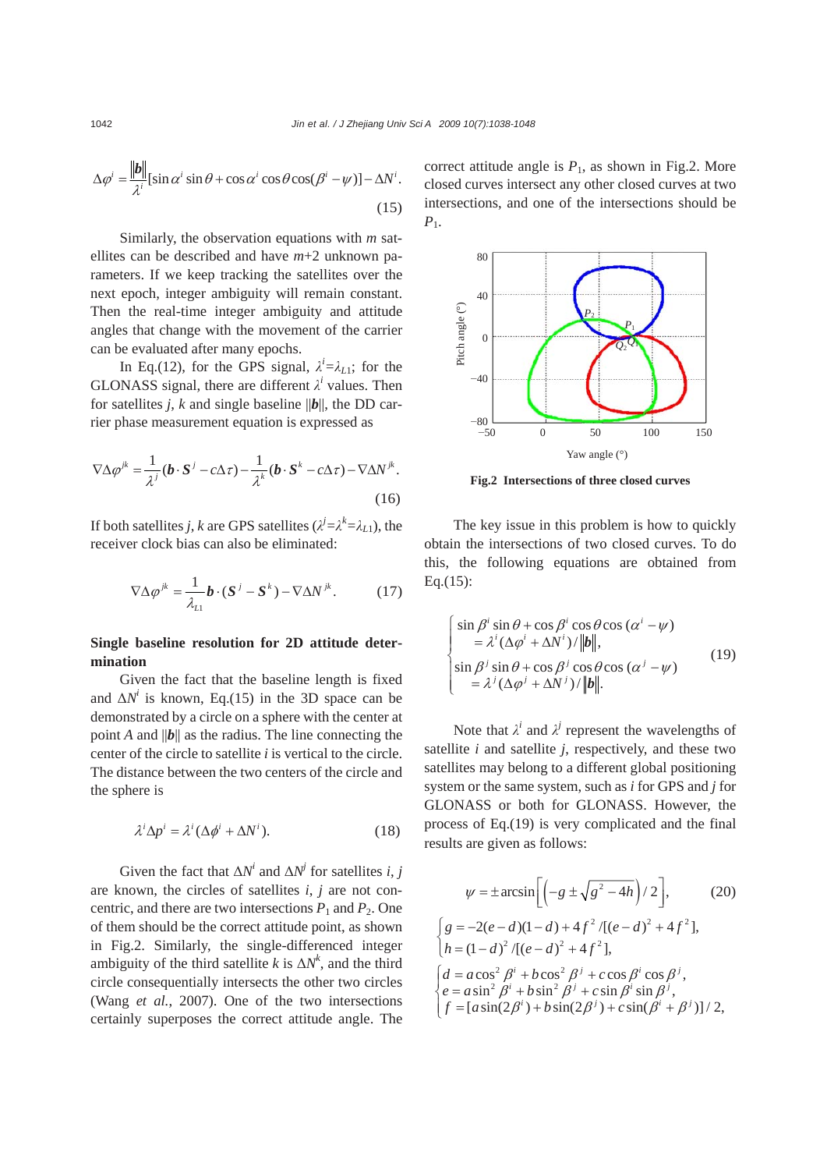$$
\Delta \varphi^i = \frac{\|\boldsymbol{b}\|}{\lambda^i} [\sin \alpha^i \sin \theta + \cos \alpha^i \cos \theta \cos(\beta^i - \psi)] - \Delta N^i.
$$
\n(15)

Similarly, the observation equations with *m* satellites can be described and have *m*+2 unknown parameters. If we keep tracking the satellites over the next epoch, integer ambiguity will remain constant. Then the real-time integer ambiguity and attitude angles that change with the movement of the carrier can be evaluated after many epochs.

In Eq.(12), for the GPS signal,  $\lambda^i = \lambda_{L1}$ ; for the GLONASS signal, there are different  $\lambda^i$  values. Then for satellites *j*, *k* and single baseline ||*b*||, the DD carrier phase measurement equation is expressed as

$$
\nabla \Delta \varphi^{jk} = \frac{1}{\lambda^j} (\boldsymbol{b} \cdot \boldsymbol{S}^j - c \Delta \tau) - \frac{1}{\lambda^k} (\boldsymbol{b} \cdot \boldsymbol{S}^k - c \Delta \tau) - \nabla \Delta N^{jk}.
$$
\n(16)

If both satellites *j*, *k* are GPS satellites ( $\lambda^{j} = \lambda^{k} = \lambda_{L1}$ ), the receiver clock bias can also be eliminated:

$$
\nabla \Delta \varphi^{jk} = \frac{1}{\lambda_{L1}} \boldsymbol{b} \cdot (\boldsymbol{S}^j - \boldsymbol{S}^k) - \nabla \Delta N^{jk}.
$$
 (17)

# **Single baseline resolution for 2D attitude determination**

Given the fact that the baseline length is fixed and  $\Delta N^i$  is known, Eq.(15) in the 3D space can be demonstrated by a circle on a sphere with the center at point *A* and  $||b||$  as the radius. The line connecting the center of the circle to satellite *i* is vertical to the circle. The distance between the two centers of the circle and the sphere is

$$
\lambda^i \Delta p^i = \lambda^i (\Delta \phi^i + \Delta N^i). \tag{18}
$$

Given the fact that  $\Delta N^i$  and  $\Delta N^j$  for satellites *i*, *j* are known, the circles of satellites *i*, *j* are not concentric, and there are two intersections  $P_1$  and  $P_2$ . One of them should be the correct attitude point, as shown in Fig.2. Similarly, the single-differenced integer ambiguity of the third satellite *k* is  $\Delta N^k$ , and the third circle consequentially intersects the other two circles (Wang *et al.*, 2007). One of the two intersections certainly superposes the correct attitude angle. The

correct attitude angle is  $P_1$ , as shown in Fig.2. More closed curves intersect any other closed curves at two intersections, and one of the intersections should be  $P_1$ .



**Fig.2 Intersections of three closed curves** 

The key issue in this problem is how to quickly obtain the intersections of two closed curves. To do this, the following equations are obtained from Eq.(15):

$$
\begin{cases}\n\sin \beta' \sin \theta + \cos \beta' \cos \theta \cos (\alpha^i - \psi) \\
= \lambda^i (\Delta \varphi^i + \Delta N^i) / ||\boldsymbol{b}||, \\
\sin \beta^j \sin \theta + \cos \beta^j \cos \theta \cos (\alpha^j - \psi) \\
= \lambda^j (\Delta \varphi^j + \Delta N^j) / ||\boldsymbol{b}||.\n\end{cases}
$$
\n(19)

Note that  $\lambda^i$  and  $\lambda^j$  represent the wavelengths of satellite *i* and satellite *j*, respectively, and these two satellites may belong to a different global positioning system or the same system, such as *i* for GPS and *j* for GLONASS or both for GLONASS. However, the process of Eq.(19) is very complicated and the final results are given as follows:

$$
\psi = \pm \arcsin \left[ \left( -g \pm \sqrt{g^2 - 4h} \right) / 2 \right], \qquad (20)
$$
  
\n
$$
\begin{cases}\ng = -2(e - d)(1 - d) + 4f^2/[(e - d)^2 + 4f^2], \\
h = (1 - d)^2/[(e - d)^2 + 4f^2],\n\end{cases}
$$
  
\n
$$
\begin{cases}\nd = a \cos^2 \beta^i + b \cos^2 \beta^j + c \cos \beta^i \cos \beta^j, \\
e = a \sin^2 \beta^i + b \sin^2 \beta^j + c \sin \beta^i \sin \beta^j, \\
f = [a \sin(2\beta^i) + b \sin(2\beta^j) + c \sin(\beta^i + \beta^j)]/2,\n\end{cases}
$$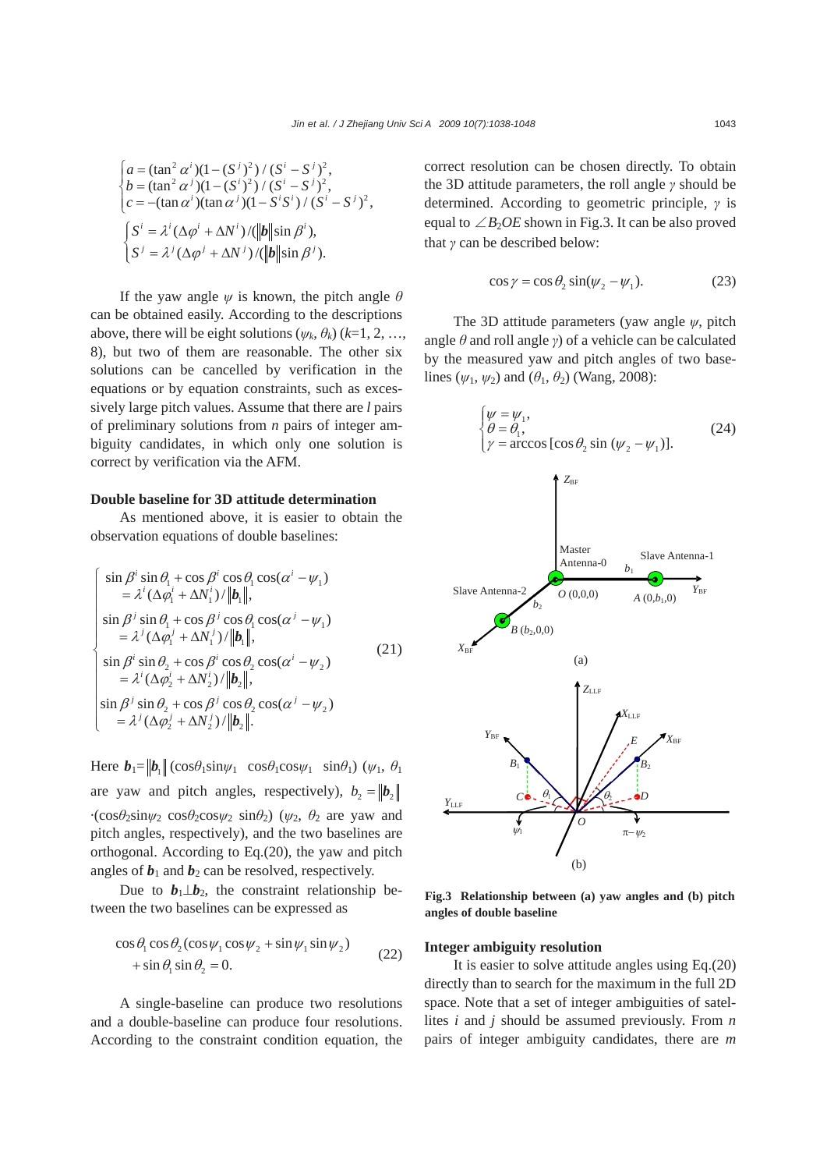$$
\begin{cases}\na = (\tan^2 \alpha^i)(1 - (S^j)^2)/(S^i - S^j)^2, \\
b = (\tan^2 \alpha^j)(1 - (S^i)^2)/(S^i - S^j)^2, \\
c = -(\tan \alpha^i)(\tan \alpha^j)(1 - S^i S^i)/(S^i - S^j)^2, \\
S^i = \lambda^i (\Delta \varphi^i + \Delta N^i)/(\|\boldsymbol{b}\| \sin \beta^i), \\
S^j = \lambda^j (\Delta \varphi^j + \Delta N^j)/(\|\boldsymbol{b}\| \sin \beta^j).\n\end{cases}
$$

If the yaw angle  $\psi$  is known, the pitch angle  $\theta$ can be obtained easily. According to the descriptions above, there will be eight solutions  $(\psi_k, \theta_k)$  ( $k=1, 2, \ldots$ ) 8), but two of them are reasonable. The other six solutions can be cancelled by verification in the equations or by equation constraints, such as excessively large pitch values. Assume that there are *l* pairs of preliminary solutions from *n* pairs of integer ambiguity candidates, in which only one solution is correct by verification via the AFM.

# **Double baseline for 3D attitude determination**

As mentioned above, it is easier to obtain the observation equations of double baselines:

$$
\begin{cases}\n\sin \beta^i \sin \theta_1 + \cos \beta^i \cos \theta_1 \cos(\alpha^i - \psi_1) \\
= \lambda^i (\Delta \phi_1^i + \Delta N_1^i) / ||\boldsymbol{b}_1||, \\
\sin \beta^j \sin \theta_1 + \cos \beta^j \cos \theta_1 \cos(\alpha^j - \psi_1) \\
= \lambda^j (\Delta \phi_1^j + \Delta N_1^j) / ||\boldsymbol{b}_1||, \\
\sin \beta^i \sin \theta_2 + \cos \beta^i \cos \theta_2 \cos(\alpha^i - \psi_2) \\
= \lambda^i (\Delta \phi_2^i + \Delta N_2^i) / ||\boldsymbol{b}_2||, \\
\sin \beta^j \sin \theta_2 + \cos \beta^j \cos \theta_2 \cos(\alpha^j - \psi_2) \\
= \lambda^j (\Delta \phi_2^i + \Delta N_2^i) / ||\boldsymbol{b}_2||.\n\end{cases}
$$
\n(21)

Here  $\mathbf{b}_1 = ||\mathbf{b}_1|| (\cos \theta_1 \sin \psi_1 \cos \theta_1 \cos \psi_1 \sin \theta_1)$  ( $\psi_1$ ,  $\theta_1$ ) are yaw and pitch angles, respectively),  $b_2 = ||b_2||$  $\cdot$ (cos $\theta_2$ sin $\psi_2$  cos $\theta_2$ cos $\psi_2$  sin $\theta_2$ ) ( $\psi_2$ ,  $\theta_2$  are yaw and pitch angles, respectively), and the two baselines are orthogonal. According to Eq.(20), the yaw and pitch angles of  $\mathbf{b}_1$  and  $\mathbf{b}_2$  can be resolved, respectively.

Due to  $b_1 \perp b_2$ , the constraint relationship between the two baselines can be expressed as

$$
\cos \theta_1 \cos \theta_2 (\cos \psi_1 \cos \psi_2 + \sin \psi_1 \sin \psi_2)
$$
  
+ 
$$
\sin \theta_1 \sin \theta_2 = 0.
$$
 (22)

A single-baseline can produce two resolutions and a double-baseline can produce four resolutions. According to the constraint condition equation, the correct resolution can be chosen directly. To obtain the 3D attitude parameters, the roll angle *γ* should be determined. According to geometric principle, *γ* is equal to  $\angle B_2OE$  shown in Fig.3. It can be also proved that *γ* can be described below:

$$
\cos \gamma = \cos \theta_2 \sin(\psi_2 - \psi_1). \tag{23}
$$

The 3D attitude parameters (yaw angle *ψ*, pitch angle *θ* and roll angle *γ*) of a vehicle can be calculated by the measured yaw and pitch angles of two baselines  $(\psi_1, \psi_2)$  and  $(\theta_1, \theta_2)$  (Wang, 2008):



**Fig.3 Relationship between (a) yaw angles and (b) pitch angles of double baseline** 

#### **Integer ambiguity resolution**

It is easier to solve attitude angles using Eq.(20) directly than to search for the maximum in the full 2D space. Note that a set of integer ambiguities of satellites *i* and *j* should be assumed previously. From *n* pairs of integer ambiguity candidates, there are *m*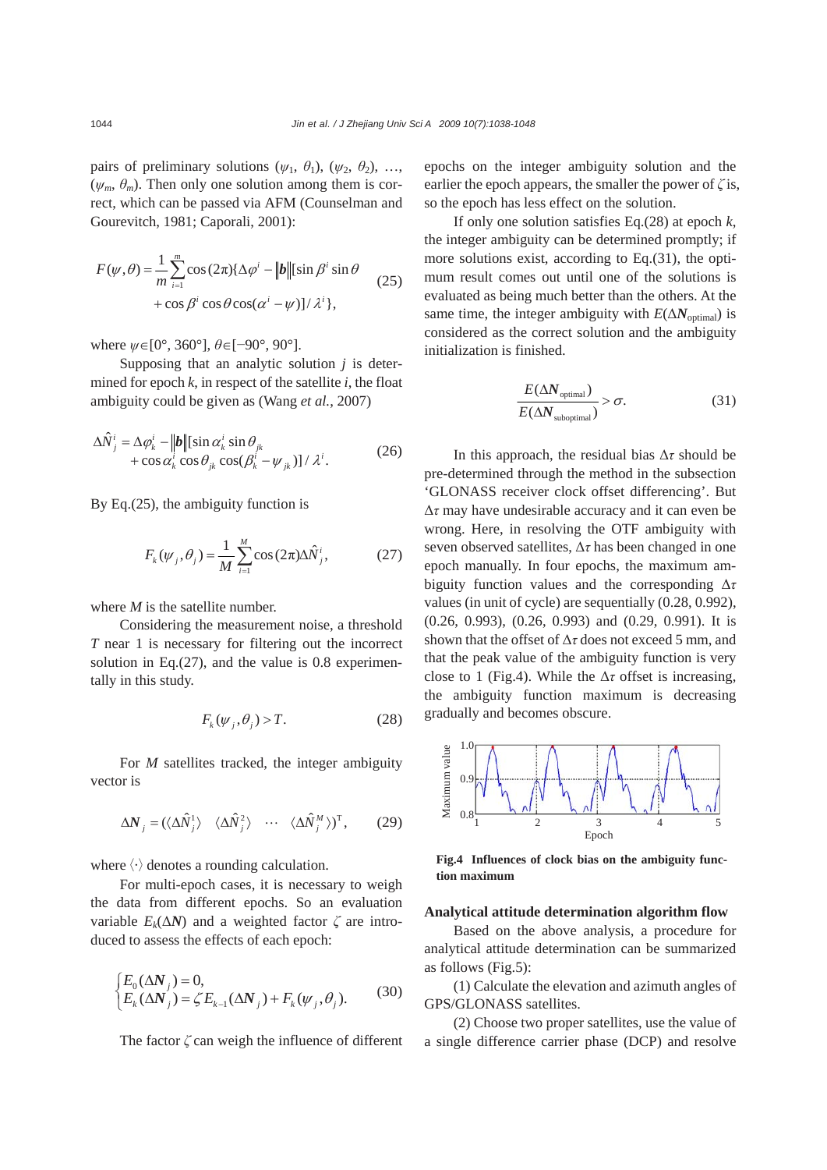pairs of preliminary solutions  $(\psi_1, \theta_1), (\psi_2, \theta_2), \ldots,$  $(\psi_m, \theta_m)$ . Then only one solution among them is correct, which can be passed via AFM (Counselman and Gourevitch, 1981; Caporali, 2001):

$$
F(\psi, \theta) = \frac{1}{m} \sum_{i=1}^{m} \cos(2\pi) \{\Delta \phi^{i} - \|\boldsymbol{b}\| [\sin \beta^{i} \sin \theta + \cos \beta^{i} \cos \theta \cos(\alpha^{i} - \psi)] / \lambda^{i}\},
$$
\n(25)

where *ψ*∈[0°, 360°], *θ*∈[−90°, 90°].

Supposing that an analytic solution *j* is determined for epoch  $k$ , in respect of the satellite  $i$ , the float ambiguity could be given as (Wang *et al.*, 2007)

$$
\Delta \hat{N}_{j}^{i} = \Delta \varphi_{k}^{i} - \|\boldsymbol{b}\| [\sin \alpha_{k}^{i} \sin \theta_{jk} + \cos \alpha_{k}^{i} \cos \theta_{jk} \cos (\beta_{k}^{i} - \psi_{jk})] / \lambda^{i}.
$$
\n(26)

By Eq.(25), the ambiguity function is

$$
F_k(\psi_j, \theta_j) = \frac{1}{M} \sum_{i=1}^{M} \cos(2\pi) \Delta \hat{N}_j^i, \qquad (27)
$$

where *M* is the satellite number.

Considering the measurement noise, a threshold *T* near 1 is necessary for filtering out the incorrect solution in Eq.(27), and the value is 0.8 experimentally in this study.

$$
F_k(\psi_j, \theta_j) > T. \tag{28}
$$

For *M* satellites tracked, the integer ambiguity vector is

$$
\Delta N_{j} = (\langle \Delta \hat{N}_{j}^{1} \rangle \quad \langle \Delta \hat{N}_{j}^{2} \rangle \quad \cdots \quad \langle \Delta \hat{N}_{j}^{M} \rangle)^{T}, \tag{29}
$$

where  $\langle \cdot \rangle$  denotes a rounding calculation.

For multi-epoch cases, it is necessary to weigh the data from different epochs. So an evaluation variable  $E_k(\Delta N)$  and a weighted factor  $\zeta$  are introduced to assess the effects of each epoch:

$$
\begin{cases} E_0(\Delta N_j) = 0, \\ E_k(\Delta N_j) = \zeta E_{k-1}(\Delta N_j) + F_k(\psi_j, \theta_j). \end{cases} (30)
$$

The factor *ζ* can weigh the influence of different

epochs on the integer ambiguity solution and the earlier the epoch appears, the smaller the power of  $\zeta$  is, so the epoch has less effect on the solution.

If only one solution satisfies Eq.(28) at epoch *k*, the integer ambiguity can be determined promptly; if more solutions exist, according to Eq.(31), the optimum result comes out until one of the solutions is evaluated as being much better than the others. At the same time, the integer ambiguity with  $E(\Delta N_{\text{optimal}})$  is considered as the correct solution and the ambiguity initialization is finished.

$$
\frac{E(\Delta N_{\text{optimal}})}{E(\Delta N_{\text{suboptimal}})} > \sigma.
$$
\n(31)

In this approach, the residual bias  $\Delta\tau$  should be pre-determined through the method in the subsection 'GLONASS receiver clock offset differencing'. But Δ*τ* may have undesirable accuracy and it can even be wrong. Here, in resolving the OTF ambiguity with seven observed satellites, Δ*τ* has been changed in one epoch manually. In four epochs, the maximum ambiguity function values and the corresponding Δ*τ* values (in unit of cycle) are sequentially (0.28, 0.992), (0.26, 0.993), (0.26, 0.993) and (0.29, 0.991). It is shown that the offset of Δ*τ* does not exceed 5 mm, and that the peak value of the ambiguity function is very close to 1 (Fig.4). While the  $\Delta\tau$  offset is increasing, the ambiguity function maximum is decreasing gradually and becomes obscure.



**Fig.4 Influences of clock bias on the ambiguity func-**

#### **Analytical attitude determination algorithm flow**

Based on the above analysis, a procedure for analytical attitude determination can be summarized as follows (Fig.5):

(1) Calculate the elevation and azimuth angles of GPS/GLONASS satellites.

(2) Choose two proper satellites, use the value of a single difference carrier phase (DCP) and resolve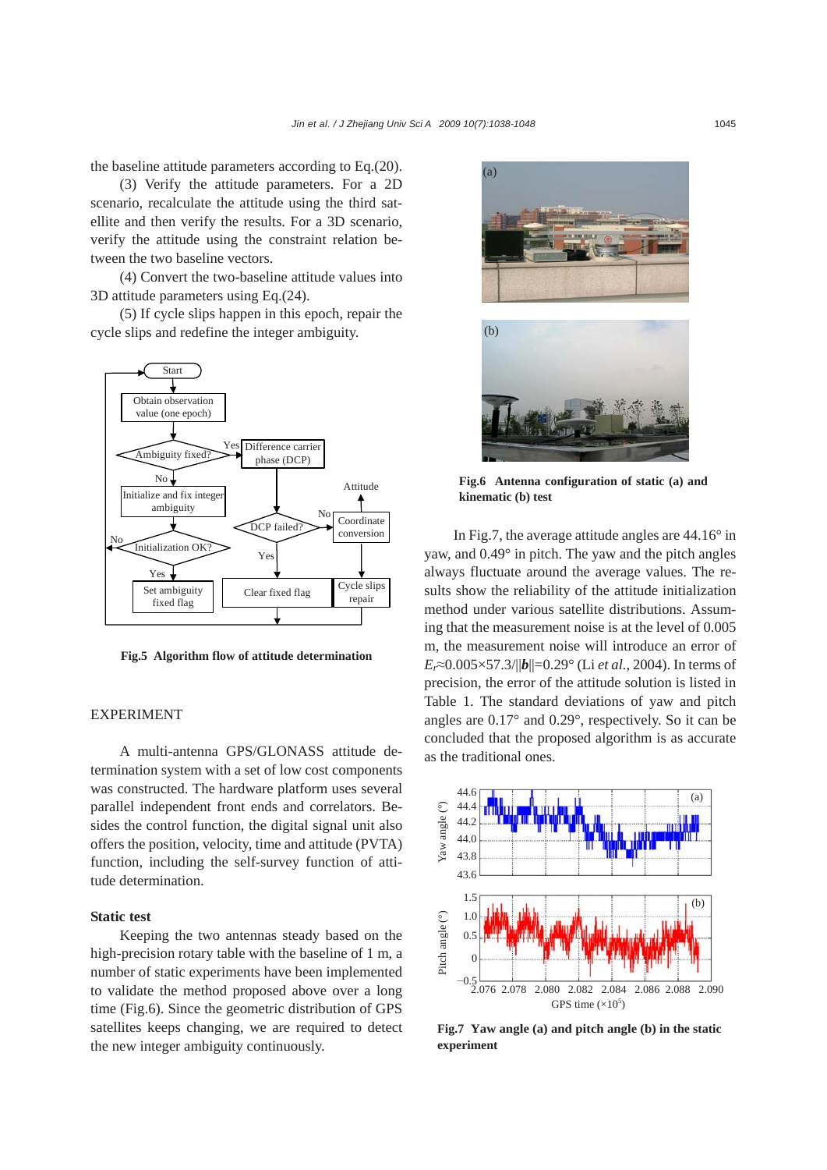the baseline attitude parameters according to Eq.(20).

(3) Verify the attitude parameters. For a 2D scenario, recalculate the attitude using the third satellite and then verify the results. For a 3D scenario, verify the attitude using the constraint relation between the two baseline vectors.

(4) Convert the two-baseline attitude values into 3D attitude parameters using Eq.(24).

(5) If cycle slips happen in this epoch, repair the cycle slips and redefine the integer ambiguity.



**Fig.5 Algorithm flow of attitude determination** 

## EXPERIMENT

A multi-antenna GPS/GLONASS attitude determination system with a set of low cost components was constructed. The hardware platform uses several parallel independent front ends and correlators. Besides the control function, the digital signal unit also offers the position, velocity, time and attitude (PVTA) function, including the self-survey function of attitude determination.

## **Static test**

Keeping the two antennas steady based on the high-precision rotary table with the baseline of 1 m, a number of static experiments have been implemented to validate the method proposed above over a long time (Fig.6). Since the geometric distribution of GPS satellites keeps changing, we are required to detect the new integer ambiguity continuously.





**Fig.6 Antenna configuration of static (a) and kinematic (b) test**

In Fig.7, the average attitude angles are 44.16° in yaw, and 0.49° in pitch. The yaw and the pitch angles always fluctuate around the average values. The results show the reliability of the attitude initialization method under various satellite distributions. Assuming that the measurement noise is at the level of 0.005 m, the measurement noise will introduce an error of *Er*≈0.005×57.3/||*b*||=0.29° (Li *et al.*, 2004). In terms of precision, the error of the attitude solution is listed in Table 1. The standard deviations of yaw and pitch angles are 0.17° and 0.29°, respectively. So it can be concluded that the proposed algorithm is as accurate as the traditional ones.



**Fig.7 Yaw angle (a) and pitch angle (b) in the static experiment**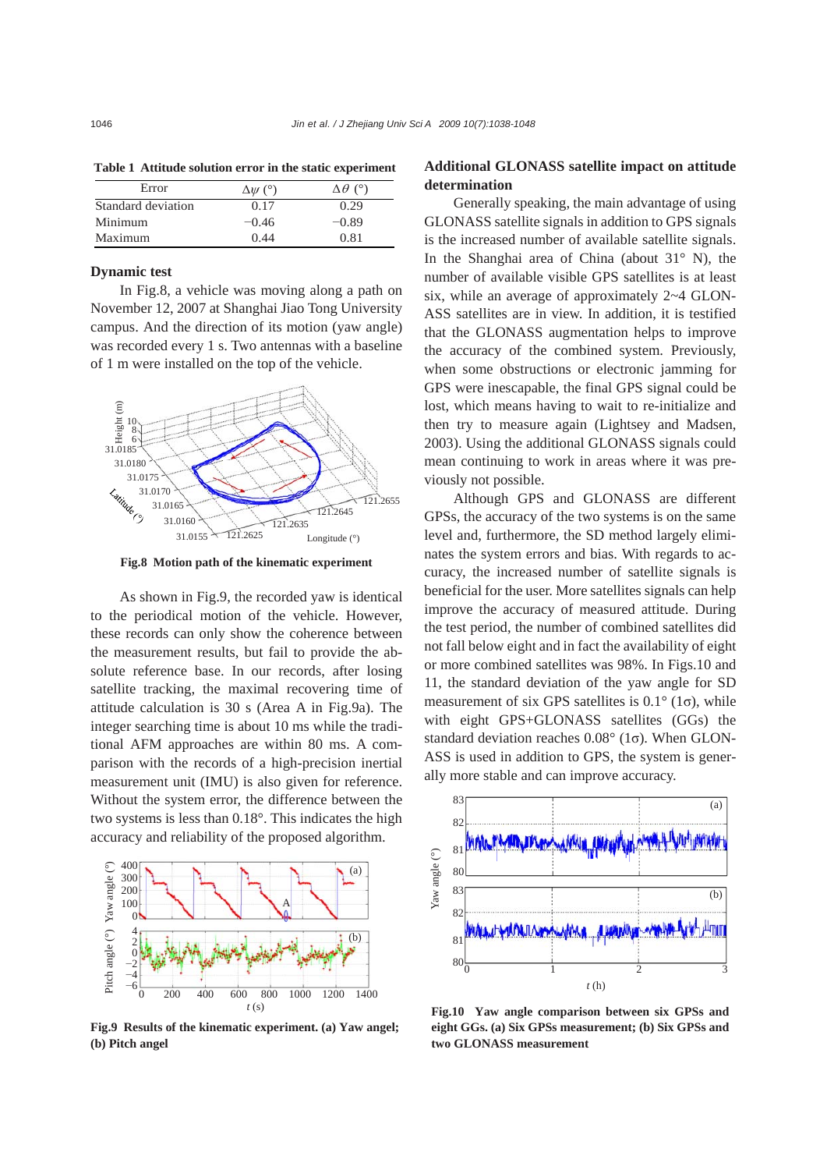| Error              | $\Delta \psi$ (°) | $\Delta\theta$ (°) |
|--------------------|-------------------|--------------------|
| Standard deviation | 0.17              | 0.29               |
| Minimum            | $-0.46$           | $-0.89$            |
| Maximum            | 0.44              | 0.81               |

**Table 1 Attitude solution error in the static experiment** 

## **Dynamic test**

In Fig.8, a vehicle was moving along a path on November 12, 2007 at Shanghai Jiao Tong University campus. And the direction of its motion (yaw angle) was recorded every 1 s. Two antennas with a baseline of 1 m were installed on the top of the vehicle.



**Fig.8 Motion path of the kinematic experiment** 

As shown in Fig.9, the recorded yaw is identical to the periodical motion of the vehicle. However, these records can only show the coherence between the measurement results, but fail to provide the absolute reference base. In our records, after losing satellite tracking, the maximal recovering time of attitude calculation is 30 s (Area A in Fig.9a). The integer searching time is about 10 ms while the traditional AFM approaches are within 80 ms. A comparison with the records of a high-precision inertial measurement unit (IMU) is also given for reference. Without the system error, the difference between the two systems is less than 0.18°. This indicates the high accuracy and reliability of the proposed algorithm.



**Fig.9 Results of the kinematic experiment. (a) Yaw angel; (b) Pitch angel**

# **Additional GLONASS satellite impact on attitude determination**

Generally speaking, the main advantage of using GLONASS satellite signals in addition to GPS signals is the increased number of available satellite signals. In the Shanghai area of China (about 31° N), the number of available visible GPS satellites is at least six, while an average of approximately 2~4 GLON-ASS satellites are in view. In addition, it is testified that the GLONASS augmentation helps to improve the accuracy of the combined system. Previously, when some obstructions or electronic jamming for GPS were inescapable, the final GPS signal could be lost, which means having to wait to re-initialize and then try to measure again (Lightsey and Madsen, 2003). Using the additional GLONASS signals could mean continuing to work in areas where it was previously not possible.

Although GPS and GLONASS are different GPSs, the accuracy of the two systems is on the same level and, furthermore, the SD method largely eliminates the system errors and bias. With regards to accuracy, the increased number of satellite signals is beneficial for the user. More satellites signals can help improve the accuracy of measured attitude. During the test period, the number of combined satellites did not fall below eight and in fact the availability of eight or more combined satellites was 98%. In Figs.10 and 11, the standard deviation of the yaw angle for SD measurement of six GPS satellites is  $0.1^{\circ}$  ( $1\sigma$ ), while with eight GPS+GLONASS satellites (GGs) the standard deviation reaches 0.08° (1σ). When GLON-ASS is used in addition to GPS, the system is generally more stable and can improve accuracy.



**Fig.10 Yaw angle comparison between six GPSs and eight GGs. (a) Six GPSs measurement; (b) Six GPSs and two GLONASS measurement**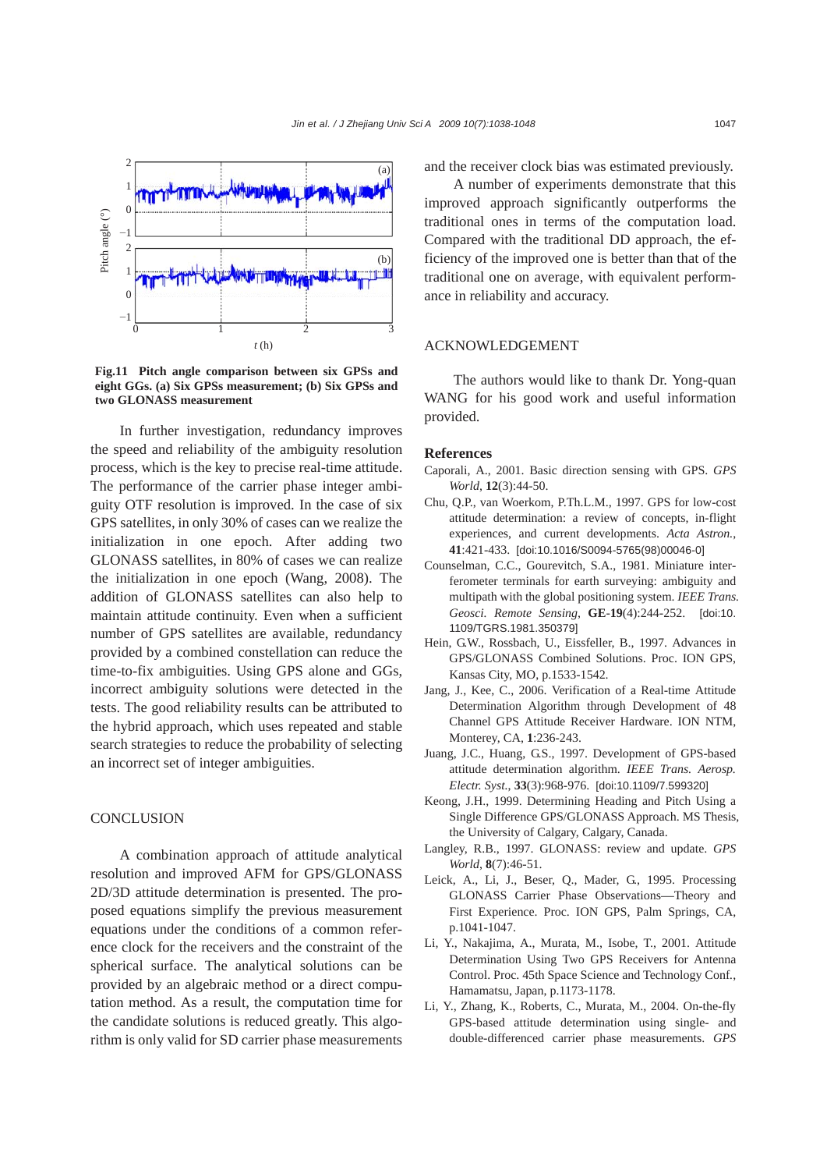

**Fig.11 Pitch angle comparison between six GPSs and eight GGs. (a) Six GPSs measurement; (b) Six GPSs and two GLONASS measurement** 

In further investigation, redundancy improves the speed and reliability of the ambiguity resolution process, which is the key to precise real-time attitude. The performance of the carrier phase integer ambiguity OTF resolution is improved. In the case of six GPS satellites, in only 30% of cases can we realize the initialization in one epoch. After adding two GLONASS satellites, in 80% of cases we can realize the initialization in one epoch (Wang, 2008). The addition of GLONASS satellites can also help to maintain attitude continuity. Even when a sufficient number of GPS satellites are available, redundancy provided by a combined constellation can reduce the time-to-fix ambiguities. Using GPS alone and GGs, incorrect ambiguity solutions were detected in the tests. The good reliability results can be attributed to the hybrid approach, which uses repeated and stable search strategies to reduce the probability of selecting an incorrect set of integer ambiguities.

## **CONCLUSION**

A combination approach of attitude analytical resolution and improved AFM for GPS/GLONASS 2D/3D attitude determination is presented. The proposed equations simplify the previous measurement equations under the conditions of a common reference clock for the receivers and the constraint of the spherical surface. The analytical solutions can be provided by an algebraic method or a direct computation method. As a result, the computation time for the candidate solutions is reduced greatly. This algorithm is only valid for SD carrier phase measurements

and the receiver clock bias was estimated previously.

A number of experiments demonstrate that this improved approach significantly outperforms the traditional ones in terms of the computation load. Compared with the traditional DD approach, the efficiency of the improved one is better than that of the traditional one on average, with equivalent performance in reliability and accuracy.

# ACKNOWLEDGEMENT

The authors would like to thank Dr. Yong-quan WANG for his good work and useful information provided.

## **References**

- Caporali, A., 2001. Basic direction sensing with GPS. *GPS World*, **12**(3):44-50.
- Chu, Q.P., van Woerkom, P.Th.L.M., 1997. GPS for low-cost attitude determination: a review of concepts, in-flight experiences, and current developments. *Acta Astron.*, **41**:421-433. [doi:10.1016/S0094-5765(98)00046-0]
- Counselman, C.C., Gourevitch, S.A., 1981. Miniature interferometer terminals for earth surveying: ambiguity and multipath with the global positioning system. *IEEE Trans. Geosci. Remote Sensing*, **GE**-**19**(4):244-252. [doi:10. 1109/TGRS.1981.350379]
- Hein, G.W., Rossbach, U., Eissfeller, B., 1997. Advances in GPS/GLONASS Combined Solutions. Proc. ION GPS, Kansas City, MO, p.1533-1542.
- Jang, J., Kee, C., 2006. Verification of a Real-time Attitude Determination Algorithm through Development of 48 Channel GPS Attitude Receiver Hardware. ION NTM, Monterey, CA, **1**:236-243.
- Juang, J.C., Huang, G.S., 1997. Development of GPS-based attitude determination algorithm. *IEEE Trans. Aerosp. Electr. Syst.*, **33**(3):968-976. [doi:10.1109/7.599320]
- Keong, J.H., 1999. Determining Heading and Pitch Using a Single Difference GPS/GLONASS Approach. MS Thesis, the University of Calgary, Calgary, Canada.
- Langley, R.B., 1997. GLONASS: review and update. *GPS World*, **8**(7):46-51.
- Leick, A., Li, J., Beser, Q., Mader, G., 1995. Processing GLONASS Carrier Phase Observations—Theory and First Experience. Proc. ION GPS, Palm Springs, CA, p.1041-1047.
- Li, Y., Nakajima, A., Murata, M., Isobe, T., 2001. Attitude Determination Using Two GPS Receivers for Antenna Control. Proc. 45th Space Science and Technology Conf*.*, Hamamatsu, Japan, p.1173-1178.
- Li, Y., Zhang, K., Roberts, C., Murata, M., 2004. On-the-fly GPS-based attitude determination using single- and double-differenced carrier phase measurements. *GPS*